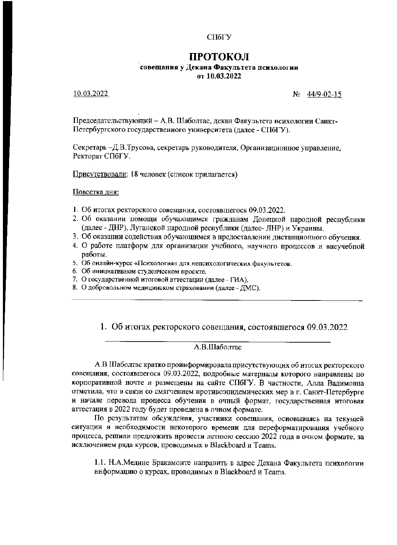СПбГУ

# ПРОТОКОЛ

#### совещания у Декана Факультета психологии от 10.03.2022

10.03.2022

 $N_2$  44/9-02-15

Председательствующий - А.В. Шаболтас, декан Факультета нсихологии Санкт-Петербургского государственного университета (далее - СПбГУ).

Секретарь -Д.В.Трусова, секретарь руководителя, Организационное управление, Ректорат СПбГУ.

Присутствовали: 18 человек (список прилагается)

Повестка дня:

- 1. Об итогах ректорского совещания, состоявшегося 09.03.2022.
- 2. Об оказании помощи обучающимся гражданам Донецкой народной республики (далее - ДНР), Луганской народной реснублики (далее- ЛНР) и Украины.
- 3. Об оказании содействия обучающимся в нредоставлении дистанционного обучения.
- 4. О работе платформ для организации учебного, научного процессов и внеучебной работы.
- 5. Об онлайн-курсе «Психология» для непсихологических факультетов.
- 6. Об инициативном студенческом проекте.
- 7. О государственной итоговой аттестации (далее ГИА).
- 8. О добровольном медицинском страховании (далее ЛМС).

1. Об итогах ректорского совещания, состоявшегося 09.03.2022

## A.B.IIIаболтас

А.В.Шаболтас кратко проинформировала присутствующих об итогах ректорского совещания, состоявшегося 09.03.2022, подробные матерналы которого нанравлены по корпоративной ночте и размещены на сайте СПбГУ. В частности, Алла Вадимовна отметила, что в связи со смягчением нротивоэпидемических мер в г. Санкт-Петербурге и начале перевода процесса обучения в очный формат, государственная итоговая аттестация в 2022 году будет проведена в очиом формате.

По результатам обсуждения, участиики совещания, основываясь на текущей ситуации и необходимости некоторого времени для переформатнрования учебного процесса, решили предложить нровести летнюю сессию 2022 года в очном формате, за исключением ряда курсов, проводимых в Blackboard и Teams.

1.1. Н.А.Медине Бракамонте направить в адрес Декана Факультета психологии ииформацию о курсах, проводимых в Blackboard и Teams.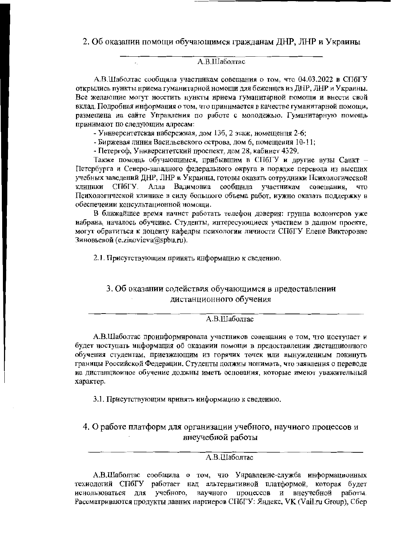2. Об оказании помощи обучающимся гражданам ДНР, ЛНР и Украины

## A.B.IIIaболтас

А.В.Шаболтас сообщила участникам совещания о том, что 04.03.2022 в СПбГУ открылись пункты нриема гуманитарной номощи для беженцев из ДНР, ЛНР и Украины. Все желающие могут носетить нункты нриема гуманитарной помощи и внести свой вклад. Подробная информация о том, что приннмается в качестве гуманитарной помощи, размещена на сайте Управления по работе с молодежью. Гуманитарную помощь принимают по следующим адресам:

- Уннверситетская набережная, дом 136, 2 этаж, номещення 2-6;

- Биржевая линия Васильевского острова, дом 6, помещения 10-11;

- Петергоф, Университетский проспект, дом 28, кабинет 4329.

Также помощь обучающимся, прибывшим в СПбГУ и другие вузы Санкт -Петербурга и Северо-западного федеральиого округа в порядке перевода из высших учебных заведений ДНР, ЛНР и Украины, готовы оказать сотрудники Психологической клиники СПбГУ. Алла Вадимовиа сообщила участникам совещания, что Психологнческой клинике в силу большого объема работ, иужно оказать поддержку в обеспечении консультационной номощи.

В ближайшее время начнет работать телефон доверия: грунпа волонтеров уже набрана, началось обучеине. Студенты, интересующиеся участием в данном проекте, могут обратиться к доцеиту кафедры психологии личности СПбГУ Елене Викторовне Зиновьевой (e.zinovieva@spbu.ru).

2.1. Присутствующим принять информацию к сведению.

# 3. Об оказании содействия обучающимся в предоставлении дистанционного обучения

## А.В.Шаболтас

А.В.Шаболтас проинформировала участников совещания о том, что ноступает и будет ноступать информация об оказании помощи в предоставлении дистанционного обучения студентам, приезжающим из горячих точек или вынужденным покинуть границы Российской Федерации. Студенты должиы нонимать, что заявления о переводе иа дистанциоиное обучение должны иметь основания, которые имеют уважительный характер.

3.1. Присутствующим нринять ииформацию к сведению.

## 4. О работе платформ для организации учебного, научиого процессов и внеучебной работы

## А.В.Шаболтас

А.В.Шаболтас сообщила о том, что Унравление-служба информационных техиологий СПбГУ работает над альтернативной платформой, которая будет процессов и внеучебной работы. иснользоваться для учебного, научного Рассматриваются продукты давних партиеров СПбГУ: Яндекс, VK (Vail.ru Group), Сбер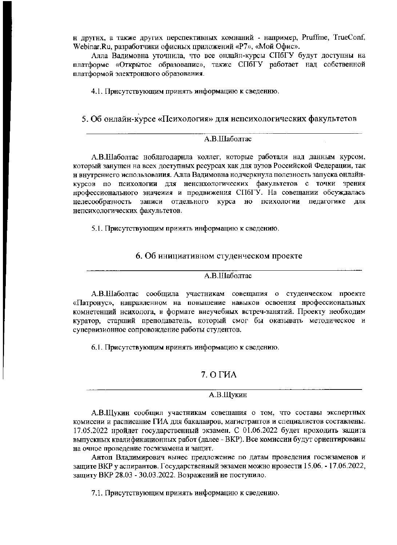н другнх, а также других перспективных комнаний - например, Pruffme, TrueConf, Webinar.Ru, разработчики офисных приложений «Р7», «Мой Офис».

Алла Валимовна уточнила, что все онлайн-курсы СПбГУ будут доступны на платформе «Открытое образовалие», также СПбГУ работает над собственной платформой электронного образования.

4.1. Присутствующим принять информацию к сведенню.

5. Об онлайн-курсе «Психология» для непсихологических факультетов

#### А.В.Шаболтас

А.В.Шаболтас ноблагодарнла коллег, которые работали над данным курсом, который занущен на всех доступных ресурсах как для вузов Российской Федерации, так н внутреннего использоваиия. Алла Вадимовна нодчеркнула полезность запуска онлайнкурсов по психологии для ненснхологических факультетов с точки зрения профессионального значения и продвижения СПбГУ. На совещании обсуждалась целесообразность записи отдельного курса но психологии педагогике для непсихологических факультетов.

5.1. Присутствующим прииять информацию к сведению.

6. Об инициативном студенческом проекте

#### A.B.IIIаболтас

А.В.Шаболтас сообщила участникам совещания о студенческом проекте «Патронус», направленном на повышение навыков освоения нрофессиональных комнетенций нсихолога, в формате внеучебных встреч-занятий. Проекту необходим куратор, старший преподаватель, который смог бы оказывать методическое и супервизионное сопровождение работы студентов.

6.1. Присутствующим нринять информацию к сведению.

## 7. O THA

#### А.В.Щукин

А.В.Щукин сообщил участникам совещания о том, что составы экспертных комиссии и расписание ГИА для бакалавров, магистраптов и специалистов составлены. 17.05.2022 нройдет государственный экзамен. С 01.06.2022 будет нроходить защита выпускных квалификационных работ (далее - ВКР). Все комиссии будут ориентированы на очное проведение госэкзамена и защит.

Антоп Владимирович вынес предложение по датам проведения госэкзаменов и защите ВКР у аспирантов. Государственный экзамен можно нровести 15.06. - 17.06.2022, защиту ВКР 28.03 - 30.03.2022. Возражений не поступило.

7.1. Присутствующим прииять информацию к сведению.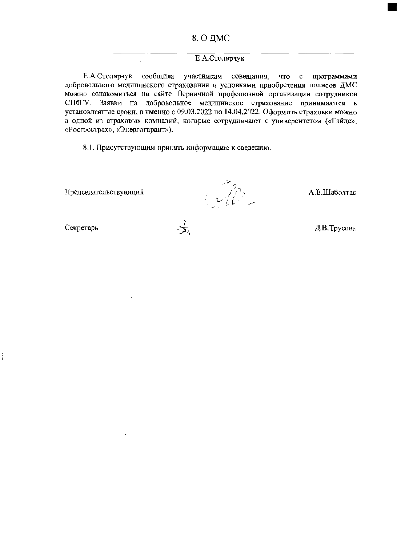#### Е.А.Столярчук

Е.А.Столярчук сообщила участникам совещания, что с программами добровольного медицинского страхования и условиями приобретения полисов ДМС можно ознакомиться на сайте Первичной профсоюзной организации сотрудников СПбГУ. Заявки на добровольное медицинское страхование принимаются в установленные сроки, а именно с 09.03.2022 по 14.04.2022. Оформить страховки можно в одной из страховых комнапий, которые сотрудничают с университетом («Гайде», «Росгосстрах», «Энергогарант»).

8.1. Присутствующим принять информацию к сведению.

Председательствующий

 $\mathbb{Z}^2$ 

А.В.Шаболтас

Секретарь

Д.В.Трусова